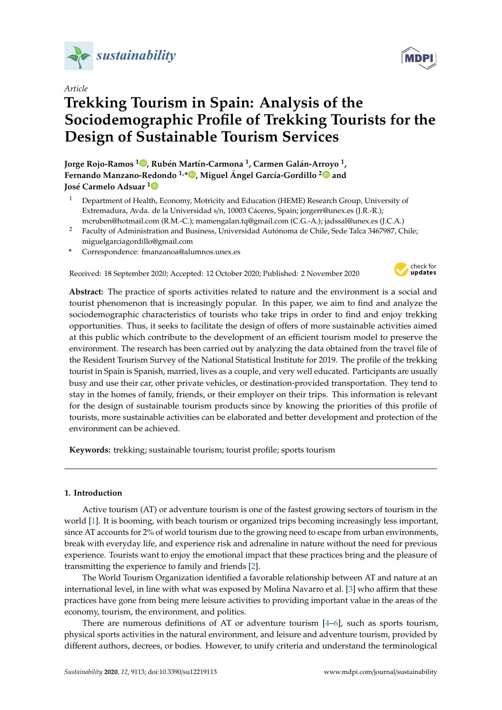

*Article*

# **Trekking Tourism in Spain: Analysis of the Sociodemographic Profile of Trekking Tourists for the Design of Sustainable Tourism Services**

**Jorge Rojo-Ramos [1](https://orcid.org/0000-0002-6542-7828) , Rubén Martín-Carmona <sup>1</sup> , Carmen Galán-Arroyo <sup>1</sup> , Fernando Manzano-Redondo 1,[\\*](https://orcid.org/0000-0001-9178-264X) , Miguel Ángel García-Gordillo [2](https://orcid.org/0000-0003-1736-0996) and José Carmelo Adsuar [1](https://orcid.org/0000-0001-7203-3168)**

- <sup>1</sup> Department of Health, Economy, Motricity and Education (HEME) Research Group, University of Extremadura, Avda. de la Universidad s/n, 10003 Cáceres, Spain; jorgerr@unex.es (J.R.-R.); mcruben@hotmail.com (R.M.-C.); mamengalan.tq@gmail.com (C.G.-A.); jadssal@unex.es (J.C.A.)
- <sup>2</sup> Faculty of Administration and Business, Universidad Autónoma de Chile, Sede Talca 3467987, Chile; miguelgarciagordillo@gmail.com
- **\*** Correspondence: fmanzanoa@alumnos.unex.es

Received: 18 September 2020; Accepted: 12 October 2020; Published: 2 November 2020



**Abstract:** The practice of sports activities related to nature and the environment is a social and tourist phenomenon that is increasingly popular. In this paper, we aim to find and analyze the sociodemographic characteristics of tourists who take trips in order to find and enjoy trekking opportunities. Thus, it seeks to facilitate the design of offers of more sustainable activities aimed at this public which contribute to the development of an efficient tourism model to preserve the environment. The research has been carried out by analyzing the data obtained from the travel file of the Resident Tourism Survey of the National Statistical Institute for 2019. The profile of the trekking tourist in Spain is Spanish, married, lives as a couple, and very well educated. Participants are usually busy and use their car, other private vehicles, or destination-provided transportation. They tend to stay in the homes of family, friends, or their employer on their trips. This information is relevant for the design of sustainable tourism products since by knowing the priorities of this profile of tourists, more sustainable activities can be elaborated and better development and protection of the environment can be achieved.

**Keywords:** trekking; sustainable tourism; tourist profile; sports tourism

# **1. Introduction**

Active tourism (AT) or adventure tourism is one of the fastest growing sectors of tourism in the world [\[1\]](#page-8-0). It is booming, with beach tourism or organized trips becoming increasingly less important, since AT accounts for 2% of world tourism due to the growing need to escape from urban environments, break with everyday life, and experience risk and adrenaline in nature without the need for previous experience. Tourists want to enjoy the emotional impact that these practices bring and the pleasure of transmitting the experience to family and friends [\[2\]](#page-8-1).

The World Tourism Organization identified a favorable relationship between AT and nature at an international level, in line with what was exposed by Molina Navarro et al. [\[3\]](#page-9-0) who affirm that these practices have gone from being mere leisure activities to providing important value in the areas of the economy, tourism, the environment, and politics.

There are numerous definitions of AT or adventure tourism  $[4–6]$  $[4–6]$ , such as sports tourism, physical sports activities in the natural environment, and leisure and adventure tourism, provided by different authors, decrees, or bodies. However, to unify criteria and understand the terminological

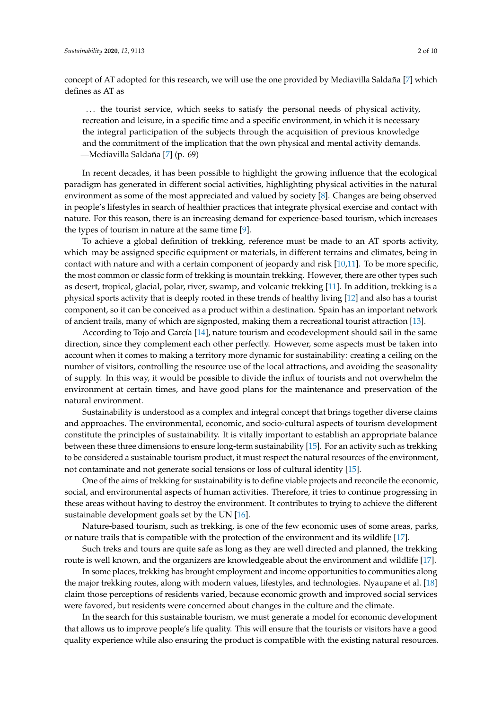concept of AT adopted for this research, we will use the one provided by Mediavilla Saldaña [\[7\]](#page-9-3) which defines as AT as

... the tourist service, which seeks to satisfy the personal needs of physical activity, recreation and leisure, in a specific time and a specific environment, in which it is necessary the integral participation of the subjects through the acquisition of previous knowledge and the commitment of the implication that the own physical and mental activity demands. —Mediavilla Saldaña [\[7\]](#page-9-3) (p. 69)

In recent decades, it has been possible to highlight the growing influence that the ecological paradigm has generated in different social activities, highlighting physical activities in the natural environment as some of the most appreciated and valued by society [\[8\]](#page-9-4). Changes are being observed in people's lifestyles in search of healthier practices that integrate physical exercise and contact with nature. For this reason, there is an increasing demand for experience-based tourism, which increases the types of tourism in nature at the same time [\[9\]](#page-9-5).

To achieve a global definition of trekking, reference must be made to an AT sports activity, which may be assigned specific equipment or materials, in different terrains and climates, being in contact with nature and with a certain component of jeopardy and risk [\[10,](#page-9-6)[11\]](#page-9-7). To be more specific, the most common or classic form of trekking is mountain trekking. However, there are other types such as desert, tropical, glacial, polar, river, swamp, and volcanic trekking [\[11\]](#page-9-7). In addition, trekking is a physical sports activity that is deeply rooted in these trends of healthy living [\[12\]](#page-9-8) and also has a tourist component, so it can be conceived as a product within a destination. Spain has an important network of ancient trails, many of which are signposted, making them a recreational tourist attraction [\[13\]](#page-9-9).

According to Tojo and García [\[14\]](#page-9-10), nature tourism and ecodevelopment should sail in the same direction, since they complement each other perfectly. However, some aspects must be taken into account when it comes to making a territory more dynamic for sustainability: creating a ceiling on the number of visitors, controlling the resource use of the local attractions, and avoiding the seasonality of supply. In this way, it would be possible to divide the influx of tourists and not overwhelm the environment at certain times, and have good plans for the maintenance and preservation of the natural environment.

Sustainability is understood as a complex and integral concept that brings together diverse claims and approaches. The environmental, economic, and socio-cultural aspects of tourism development constitute the principles of sustainability. It is vitally important to establish an appropriate balance between these three dimensions to ensure long-term sustainability [\[15\]](#page-9-11). For an activity such as trekking to be considered a sustainable tourism product, it must respect the natural resources of the environment, not contaminate and not generate social tensions or loss of cultural identity [\[15\]](#page-9-11).

One of the aims of trekking for sustainability is to define viable projects and reconcile the economic, social, and environmental aspects of human activities. Therefore, it tries to continue progressing in these areas without having to destroy the environment. It contributes to trying to achieve the different sustainable development goals set by the UN [\[16\]](#page-9-12).

Nature-based tourism, such as trekking, is one of the few economic uses of some areas, parks, or nature trails that is compatible with the protection of the environment and its wildlife [\[17\]](#page-9-13).

Such treks and tours are quite safe as long as they are well directed and planned, the trekking route is well known, and the organizers are knowledgeable about the environment and wildlife [\[17\]](#page-9-13).

In some places, trekking has brought employment and income opportunities to communities along the major trekking routes, along with modern values, lifestyles, and technologies. Nyaupane et al. [\[18\]](#page-9-14) claim those perceptions of residents varied, because economic growth and improved social services were favored, but residents were concerned about changes in the culture and the climate.

In the search for this sustainable tourism, we must generate a model for economic development that allows us to improve people's life quality. This will ensure that the tourists or visitors have a good quality experience while also ensuring the product is compatible with the existing natural resources.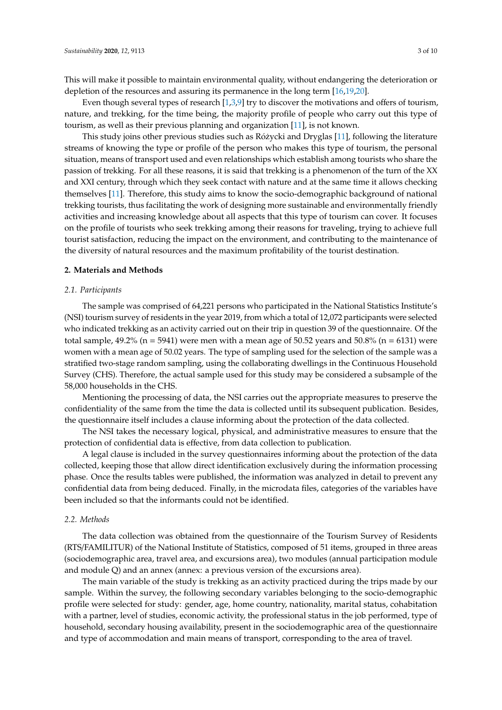This will make it possible to maintain environmental quality, without endangering the deterioration or depletion of the resources and assuring its permanence in the long term [\[16](#page-9-12)[,19](#page-9-15)[,20\]](#page-9-16).

Even though several types of research [\[1](#page-8-0)[,3](#page-9-0)[,9\]](#page-9-5) try to discover the motivations and offers of tourism, nature, and trekking, for the time being, the majority profile of people who carry out this type of tourism, as well as their previous planning and organization [\[11\]](#page-9-7), is not known.

This study joins other previous studies such as Różycki and Dryglas [\[11\]](#page-9-7), following the literature streams of knowing the type or profile of the person who makes this type of tourism, the personal situation, means of transport used and even relationships which establish among tourists who share the passion of trekking. For all these reasons, it is said that trekking is a phenomenon of the turn of the XX and XXI century, through which they seek contact with nature and at the same time it allows checking themselves [\[11\]](#page-9-7). Therefore, this study aims to know the socio-demographic background of national trekking tourists, thus facilitating the work of designing more sustainable and environmentally friendly activities and increasing knowledge about all aspects that this type of tourism can cover. It focuses on the profile of tourists who seek trekking among their reasons for traveling, trying to achieve full tourist satisfaction, reducing the impact on the environment, and contributing to the maintenance of the diversity of natural resources and the maximum profitability of the tourist destination.

#### **2. Materials and Methods**

#### *2.1. Participants*

The sample was comprised of 64,221 persons who participated in the National Statistics Institute's (NSI) tourism survey of residents in the year 2019, from which a total of 12,072 participants were selected who indicated trekking as an activity carried out on their trip in question 39 of the questionnaire. Of the total sample,  $49.2\%$  (n = 5941) were men with a mean age of 50.52 years and 50.8% (n = 6131) were women with a mean age of 50.02 years. The type of sampling used for the selection of the sample was a stratified two-stage random sampling, using the collaborating dwellings in the Continuous Household Survey (CHS). Therefore, the actual sample used for this study may be considered a subsample of the 58,000 households in the CHS.

Mentioning the processing of data, the NSI carries out the appropriate measures to preserve the confidentiality of the same from the time the data is collected until its subsequent publication. Besides, the questionnaire itself includes a clause informing about the protection of the data collected.

The NSI takes the necessary logical, physical, and administrative measures to ensure that the protection of confidential data is effective, from data collection to publication.

A legal clause is included in the survey questionnaires informing about the protection of the data collected, keeping those that allow direct identification exclusively during the information processing phase. Once the results tables were published, the information was analyzed in detail to prevent any confidential data from being deduced. Finally, in the microdata files, categories of the variables have been included so that the informants could not be identified.

#### *2.2. Methods*

The data collection was obtained from the questionnaire of the Tourism Survey of Residents (RTS/FAMILITUR) of the National Institute of Statistics, composed of 51 items, grouped in three areas (sociodemographic area, travel area, and excursions area), two modules (annual participation module and module Q) and an annex (annex: a previous version of the excursions area).

The main variable of the study is trekking as an activity practiced during the trips made by our sample. Within the survey, the following secondary variables belonging to the socio-demographic profile were selected for study: gender, age, home country, nationality, marital status, cohabitation with a partner, level of studies, economic activity, the professional status in the job performed, type of household, secondary housing availability, present in the sociodemographic area of the questionnaire and type of accommodation and main means of transport, corresponding to the area of travel.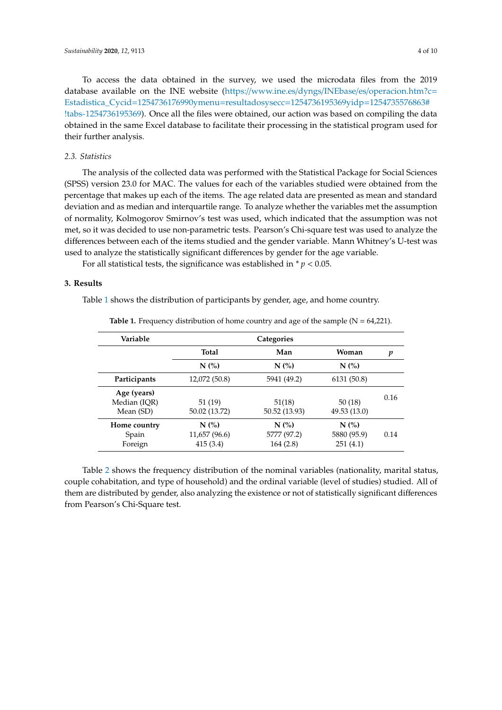To access the data obtained in the survey, we used the microdata files from the 2019 database available on the INE website (https://www.ine.es/dyngs/INEbase/es/[operacion.htm?c](https://www.ine.es/dyngs/INEbase/es/operacion.htm?c=Estadistica_Cycid=1254736176990ymenu=resultadosysecc=1254736195369yidp=1254735576863#!tabs-1254736195369)= Estadistica\_Cycid=[1254736176990ymenu](https://www.ine.es/dyngs/INEbase/es/operacion.htm?c=Estadistica_Cycid=1254736176990ymenu=resultadosysecc=1254736195369yidp=1254735576863#!tabs-1254736195369)=resultadosysecc=1254736195369yidp=1254735576863# [!tabs-1254736195369\)](https://www.ine.es/dyngs/INEbase/es/operacion.htm?c=Estadistica_Cycid=1254736176990ymenu=resultadosysecc=1254736195369yidp=1254735576863#!tabs-1254736195369). Once all the files were obtained, our action was based on compiling the data obtained in the same Excel database to facilitate their processing in the statistical program used for their further analysis.

# *2.3. Statistics*

The analysis of the collected data was performed with the Statistical Package for Social Sciences (SPSS) version 23.0 for MAC. The values for each of the variables studied were obtained from the percentage that makes up each of the items. The age related data are presented as mean and standard deviation and as median and interquartile range. To analyze whether the variables met the assumption of normality, Kolmogorov Smirnov's test was used, which indicated that the assumption was not met, so it was decided to use non-parametric tests. Pearson's Chi-square test was used to analyze the differences between each of the items studied and the gender variable. Mann Whitney's U-test was used to analyze the statistically significant differences by gender for the age variable.

For all statistical tests, the significance was established in *\* p* < 0.05.

# **3. Results**

<span id="page-3-0"></span>Table [1](#page-3-0) shows the distribution of participants by gender, age, and home country.

| Variable                                 | <b>Categories</b>                 |                                 |                                |      |
|------------------------------------------|-----------------------------------|---------------------------------|--------------------------------|------|
|                                          | Total                             | Man                             | Woman                          | p    |
|                                          | N(%)                              | N(%                             | N(%                            |      |
| Participants                             | 12,072 (50.8)                     | 5941 (49.2)                     | 6131 (50.8)                    |      |
| Age (years)<br>Median (IQR)<br>Mean (SD) | 51 (19)<br>50.02 (13.72)          | 51(18)<br>50.52 (13.93)         | 50(18)<br>49.53 (13.0)         | 0.16 |
| Home country<br>Spain<br>Foreign         | N(%)<br>11,657 (96.6)<br>415(3.4) | N(%)<br>5777 (97.2)<br>164(2.8) | N(%<br>5880 (95.9)<br>251(4.1) | 0.14 |

**Table 1.** Frequency distribution of home country and age of the sample  $(N = 64,221)$ .

Table [2](#page-4-0) shows the frequency distribution of the nominal variables (nationality, marital status, couple cohabitation, and type of household) and the ordinal variable (level of studies) studied. All of them are distributed by gender, also analyzing the existence or not of statistically significant differences from Pearson's Chi-Square test.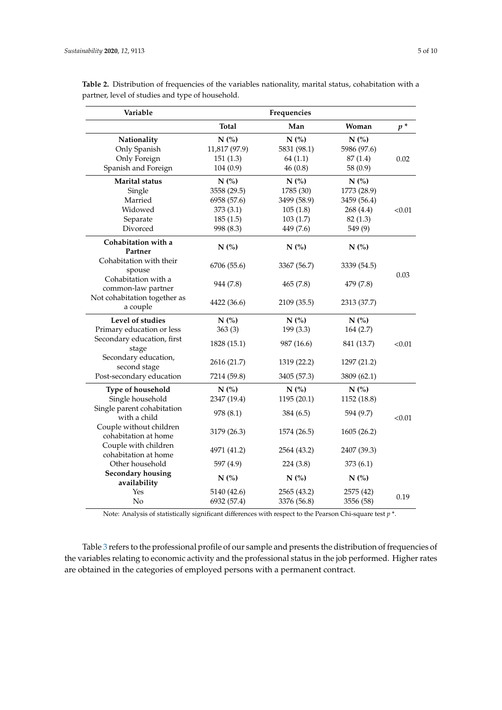| Variable                                        |               | Frequencies |                                |        |
|-------------------------------------------------|---------------|-------------|--------------------------------|--------|
|                                                 | <b>Total</b>  | Man         | Woman                          | $p^*$  |
| Nationality                                     | N(%)          | N(%)        | N(%)                           |        |
| Only Spanish                                    | 11,817 (97.9) | 5831 (98.1) | 5986 (97.6)                    |        |
| Only Foreign                                    | 151(1.3)      | 64(1.1)     | 87 (1.4)                       | 0.02   |
| Spanish and Foreign                             | 104(0.9)      | 46(0.8)     | 58 (0.9)                       |        |
| Marital status                                  | N(%           | $N$ (%)     | $N$ (%)                        |        |
| Single                                          | 3558 (29.5)   | 1785 (30)   | 1773 (28.9)                    |        |
| Married                                         | 6958 (57.6)   | 3499 (58.9) | 3459 (56.4)                    |        |
| Widowed                                         | 373(3.1)      | 105(1.8)    | 268 (4.4)                      | < 0.01 |
| Separate                                        | 185(1.5)      | 103(1.7)    | 82(1.3)                        |        |
| Divorced                                        | 998 (8.3)     | 449 (7.6)   | 549 (9)                        |        |
| Cohabitation with a<br>Partner                  | $N$ (%)       | $N$ (%)     | $N$ $\left(\frac{9}{6}\right)$ |        |
| Cohabitation with their<br>spouse               | 6706 (55.6)   | 3367 (56.7) | 3339 (54.5)                    | 0.03   |
| Cohabitation with a<br>common-law partner       | 944 (7.8)     | 465(7.8)    | 479 (7.8)                      |        |
| Not cohabitation together as<br>a couple        | 4422 (36.6)   | 2109 (35.5) | 2313 (37.7)                    |        |
| Level of studies                                | N(%           | $N$ (%)     | $N$ (%)                        |        |
| Primary education or less                       | 363(3)        | 199 (3.3)   | 164(2.7)                       |        |
| Secondary education, first<br>stage             | 1828 (15.1)   | 987 (16.6)  | 841 (13.7)                     | < 0.01 |
| Secondary education,<br>second stage            | 2616 (21.7)   | 1319 (22.2) | 1297 (21.2)                    |        |
| Post-secondary education                        | 7214 (59.8)   | 3405 (57.3) | 3809 (62.1)                    |        |
| Type of household                               | N(%)          | N(%)        | N(%)                           |        |
| Single household                                | 2347 (19.4)   | 1195 (20.1) | 1152 (18.8)                    |        |
| Single parent cohabitation<br>with a child      | 978 (8.1)     | 384 (6.5)   | 594 (9.7)                      | < 0.01 |
| Couple without children<br>cohabitation at home | 3179 (26.3)   | 1574 (26.5) | 1605 (26.2)                    |        |
| Couple with children<br>cohabitation at home    | 4971 (41.2)   | 2564 (43.2) | 2407 (39.3)                    |        |

<span id="page-4-0"></span>**Table 2.** Distribution of frequencies of the variables nationality, marital status, cohabitation with a partner, level of studies and type of household.

Note: Analysis of statistically significant differences with respect to the Pearson Chi-square test *p* \*.

Yes 5140 (42.6) 2565 (43.2) 2575 (42)<br>No 6932 (57.4) 3376 (56.8) 3556 (58) 0.19

Other household 597 (4.9) 224 (3.8) 373 (6.1)

availability **N** (%) **N** (%) **N** (%) **N** (%)

**Secondary housing**

Table [3](#page-5-0) refers to the professional profile of our sample and presents the distribution of frequencies of the variables relating to economic activity and the professional status in the job performed. Higher rates are obtained in the categories of employed persons with a permanent contract.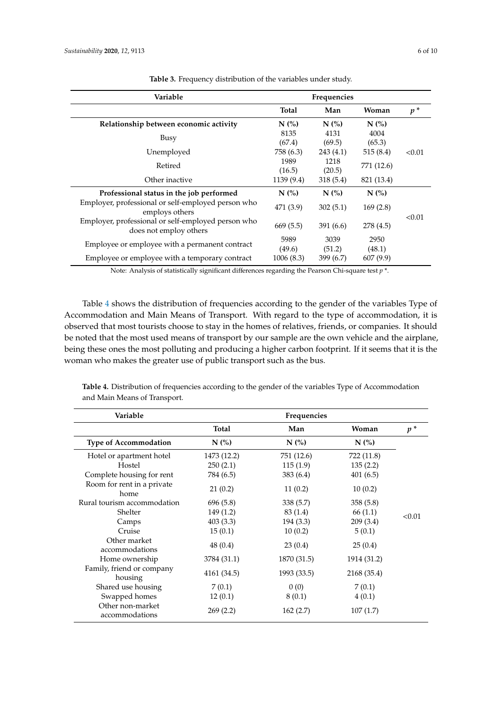<span id="page-5-0"></span>

| Variable                                                                     | Frequencies    |                |                |        |
|------------------------------------------------------------------------------|----------------|----------------|----------------|--------|
|                                                                              | <b>Total</b>   | Man            | Woman          | $p^*$  |
| Relationship between economic activity                                       | N(%)           | N(%            | N(%            |        |
| Busy                                                                         | 8135<br>(67.4) | 4131<br>(69.5) | 4004<br>(65.3) |        |
| Unemployed                                                                   | 758 (6.3)      | 243(4.1)       | 515(8.4)       | < 0.01 |
| Retired                                                                      | 1989<br>(16.5) | 1218<br>(20.5) | 771 (12.6)     |        |
| Other inactive                                                               | 1139 (9.4)     | 318(5.4)       | 821 (13.4)     |        |
| Professional status in the job performed                                     | N(%)           | N(%            | N(%            |        |
| Employer, professional or self-employed person who<br>employs others         | 471 (3.9)      | 302(5.1)       | 169(2.8)       |        |
| Employer, professional or self-employed person who<br>does not employ others | 669 (5.5)      | 391 (6.6)      | 278 (4.5)      | < 0.01 |
| Employee or employee with a permanent contract                               | 5989<br>(49.6) | 3039<br>(51.2) | 2950<br>(48.1) |        |
| Employee or employee with a temporary contract                               | 1006 (8.3)     | 399 (6.7)      | 607(9.9)       |        |

**Table 3.** Frequency distribution of the variables under study.

Note: Analysis of statistically significant differences regarding the Pearson Chi-square test *p* \*.

Table [4](#page-5-1) shows the distribution of frequencies according to the gender of the variables Type of Accommodation and Main Means of Transport. With regard to the type of accommodation, it is observed that most tourists choose to stay in the homes of relatives, friends, or companies. It should be noted that the most used means of transport by our sample are the own vehicle and the airplane, being these ones the most polluting and producing a higher carbon footprint. If it seems that it is the woman who makes the greater use of public transport such as the bus.

<span id="page-5-1"></span>**Table 4.** Distribution of frequencies according to the gender of the variables Type of Accommodation and Main Means of Transport.

| Variable                             | Frequencies                    |             |                                |        |
|--------------------------------------|--------------------------------|-------------|--------------------------------|--------|
|                                      | <b>Total</b>                   | Man         | Woman                          | $p^*$  |
| <b>Type of Accommodation</b>         | $N$ $\left(\frac{9}{6}\right)$ | $N$ (%)     | $N$ $\left(\frac{9}{6}\right)$ |        |
| Hotel or apartment hotel             | 1473 (12.2)                    | 751 (12.6)  | 722 (11.8)                     |        |
| Hostel                               | 250(2.1)                       | 115(1.9)    | 135(2.2)                       |        |
| Complete housing for rent            | 784 (6.5)                      | 383(6.4)    | 401(6.5)                       |        |
| Room for rent in a private<br>home   | 21(0.2)                        | 11(0.2)     | 10(0.2)                        |        |
| Rural tourism accommodation          | 696 (5.8)                      | 338(5.7)    | 358(5.8)                       |        |
| Shelter                              | 149 (1.2)                      | 83 (1.4)    | 66(1.1)                        | < 0.01 |
| Camps                                | 403(3.3)                       | 194 (3.3)   | 209(3.4)                       |        |
| Cruise                               | 15(0.1)                        | 10(0.2)     | 5(0.1)                         |        |
| Other market<br>accommodations       | 48(0.4)                        | 23(0.4)     | 25(0.4)                        |        |
| Home ownership                       | 3784 (31.1)                    | 1870 (31.5) | 1914 (31.2)                    |        |
| Family, friend or company<br>housing | 4161 (34.5)                    | 1993 (33.5) | 2168 (35.4)                    |        |
| Shared use housing                   | 7(0.1)                         | 0(0)        | 7(0.1)                         |        |
| Swapped homes                        | 12(0.1)                        | 8(0.1)      | 4(0.1)                         |        |
| Other non-market<br>accommodations   | 269 (2.2)                      | 162(2.7)    | 107(1.7)                       |        |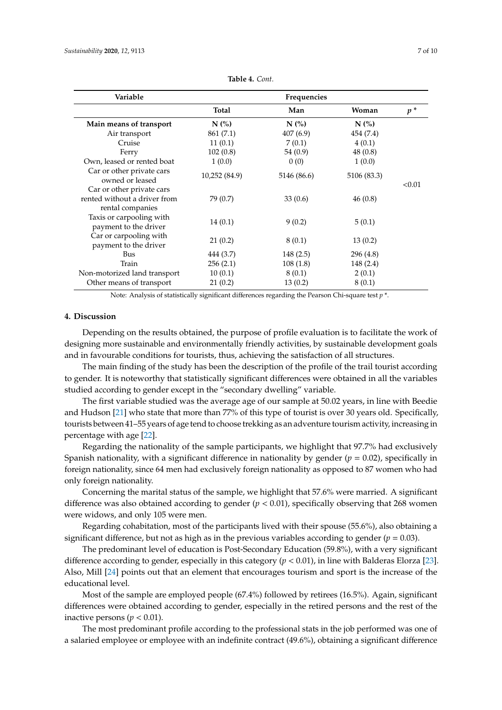| Variable                                          | Frequencies                    |                                |             |        |
|---------------------------------------------------|--------------------------------|--------------------------------|-------------|--------|
|                                                   | Total                          | Man                            | Woman       | $p^*$  |
| Main means of transport                           | $N$ $\left(\frac{9}{6}\right)$ | $N$ $\left(\frac{9}{6}\right)$ | N(%         |        |
| Air transport                                     | 861 (7.1)                      | 407(6.9)                       | 454 (7.4)   |        |
| Cruise                                            | 11(0.1)                        | 7(0.1)                         | 4(0.1)      |        |
| Ferry                                             | 102(0.8)                       | 54(0.9)                        | 48(0.8)     |        |
| Own, leased or rented boat                        | 1(0.0)                         | 0(0)                           | 1(0.0)      |        |
| Car or other private cars<br>owned or leased      | 10,252 (84.9)                  | 5146 (86.6)                    | 5106 (83.3) | < 0.01 |
| Car or other private cars                         |                                |                                |             |        |
| rented without a driver from<br>rental companies  | 79 (0.7)                       | 33(0.6)                        | 46(0.8)     |        |
| Taxis or carpooling with<br>payment to the driver | 14(0.1)                        | 9(0.2)                         | 5(0.1)      |        |
| Car or carpooling with<br>payment to the driver   | 21(0.2)                        | 8(0.1)                         | 13(0.2)     |        |
| Bus                                               | 444 (3.7)                      | 148 (2.5)                      | 296 (4.8)   |        |
| Train                                             | 256(2.1)                       | 108(1.8)                       | 148 (2.4)   |        |
| Non-motorized land transport                      | 10(0.1)                        | 8(0.1)                         | 2(0.1)      |        |
| Other means of transport                          | 21(0.2)                        | 13(0.2)                        | 8(0.1)      |        |

**Table 4.** *Cont.*

Note: Analysis of statistically significant differences regarding the Pearson Chi-square test *p* \*.

#### **4. Discussion**

Depending on the results obtained, the purpose of profile evaluation is to facilitate the work of designing more sustainable and environmentally friendly activities, by sustainable development goals and in favourable conditions for tourists, thus, achieving the satisfaction of all structures.

The main finding of the study has been the description of the profile of the trail tourist according to gender. It is noteworthy that statistically significant differences were obtained in all the variables studied according to gender except in the "secondary dwelling" variable.

The first variable studied was the average age of our sample at 50.02 years, in line with Beedie and Hudson [\[21\]](#page-9-17) who state that more than 77% of this type of tourist is over 30 years old. Specifically, tourists between 41–55 years of age tend to choose trekking as an adventure tourism activity, increasing in percentage with age [\[22\]](#page-9-18).

Regarding the nationality of the sample participants, we highlight that 97.7% had exclusively Spanish nationality, with a significant difference in nationality by gender  $(p = 0.02)$ , specifically in foreign nationality, since 64 men had exclusively foreign nationality as opposed to 87 women who had only foreign nationality.

Concerning the marital status of the sample, we highlight that 57.6% were married. A significant difference was also obtained according to gender (*p* < 0.01), specifically observing that 268 women were widows, and only 105 were men.

Regarding cohabitation, most of the participants lived with their spouse (55.6%), also obtaining a significant difference, but not as high as in the previous variables according to gender ( $p = 0.03$ ).

The predominant level of education is Post-Secondary Education (59.8%), with a very significant difference according to gender, especially in this category (*p* < 0.01), in line with Balderas Elorza [\[23\]](#page-9-19). Also, Mill [\[24\]](#page-9-20) points out that an element that encourages tourism and sport is the increase of the educational level.

Most of the sample are employed people (67.4%) followed by retirees (16.5%). Again, significant differences were obtained according to gender, especially in the retired persons and the rest of the inactive persons ( $p < 0.01$ ).

The most predominant profile according to the professional stats in the job performed was one of a salaried employee or employee with an indefinite contract (49.6%), obtaining a significant difference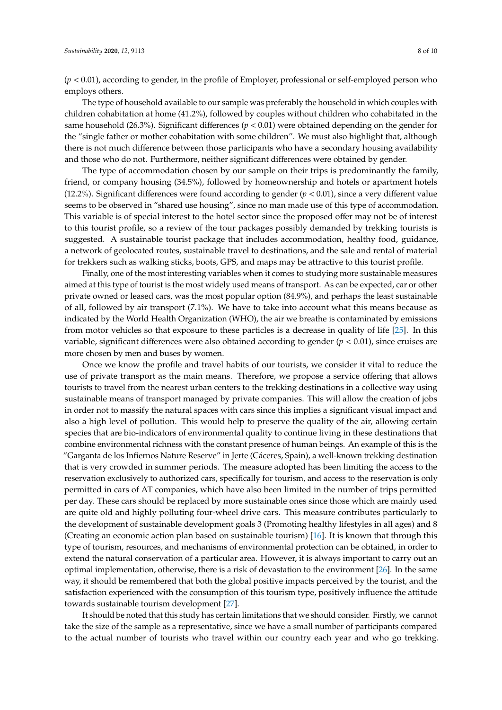(*p* < 0.01), according to gender, in the profile of Employer, professional or self-employed person who employs others.

The type of household available to our sample was preferably the household in which couples with children cohabitation at home (41.2%), followed by couples without children who cohabitated in the same household (26.3%). Significant differences ( $p < 0.01$ ) were obtained depending on the gender for the "single father or mother cohabitation with some children". We must also highlight that, although there is not much difference between those participants who have a secondary housing availability and those who do not. Furthermore, neither significant differences were obtained by gender.

The type of accommodation chosen by our sample on their trips is predominantly the family, friend, or company housing (34.5%), followed by homeownership and hotels or apartment hotels (12.2%). Significant differences were found according to gender (*p* < 0.01), since a very different value seems to be observed in "shared use housing", since no man made use of this type of accommodation. This variable is of special interest to the hotel sector since the proposed offer may not be of interest to this tourist profile, so a review of the tour packages possibly demanded by trekking tourists is suggested. A sustainable tourist package that includes accommodation, healthy food, guidance, a network of geolocated routes, sustainable travel to destinations, and the sale and rental of material for trekkers such as walking sticks, boots, GPS, and maps may be attractive to this tourist profile.

Finally, one of the most interesting variables when it comes to studying more sustainable measures aimed at this type of tourist is the most widely used means of transport. As can be expected, car or other private owned or leased cars, was the most popular option (84.9%), and perhaps the least sustainable of all, followed by air transport (7.1%). We have to take into account what this means because as indicated by the World Health Organization (WHO), the air we breathe is contaminated by emissions from motor vehicles so that exposure to these particles is a decrease in quality of life [\[25\]](#page-9-21). In this variable, significant differences were also obtained according to gender (*p* < 0.01), since cruises are more chosen by men and buses by women.

Once we know the profile and travel habits of our tourists, we consider it vital to reduce the use of private transport as the main means. Therefore, we propose a service offering that allows tourists to travel from the nearest urban centers to the trekking destinations in a collective way using sustainable means of transport managed by private companies. This will allow the creation of jobs in order not to massify the natural spaces with cars since this implies a significant visual impact and also a high level of pollution. This would help to preserve the quality of the air, allowing certain species that are bio-indicators of environmental quality to continue living in these destinations that combine environmental richness with the constant presence of human beings. An example of this is the "Garganta de los Infiernos Nature Reserve" in Jerte (Cáceres, Spain), a well-known trekking destination that is very crowded in summer periods. The measure adopted has been limiting the access to the reservation exclusively to authorized cars, specifically for tourism, and access to the reservation is only permitted in cars of AT companies, which have also been limited in the number of trips permitted per day. These cars should be replaced by more sustainable ones since those which are mainly used are quite old and highly polluting four-wheel drive cars. This measure contributes particularly to the development of sustainable development goals 3 (Promoting healthy lifestyles in all ages) and 8 (Creating an economic action plan based on sustainable tourism) [\[16\]](#page-9-12). It is known that through this type of tourism, resources, and mechanisms of environmental protection can be obtained, in order to extend the natural conservation of a particular area. However, it is always important to carry out an optimal implementation, otherwise, there is a risk of devastation to the environment [\[26\]](#page-9-22). In the same way, it should be remembered that both the global positive impacts perceived by the tourist, and the satisfaction experienced with the consumption of this tourism type, positively influence the attitude towards sustainable tourism development [\[27\]](#page-9-23).

It should be noted that this study has certain limitations that we should consider. Firstly, we cannot take the size of the sample as a representative, since we have a small number of participants compared to the actual number of tourists who travel within our country each year and who go trekking.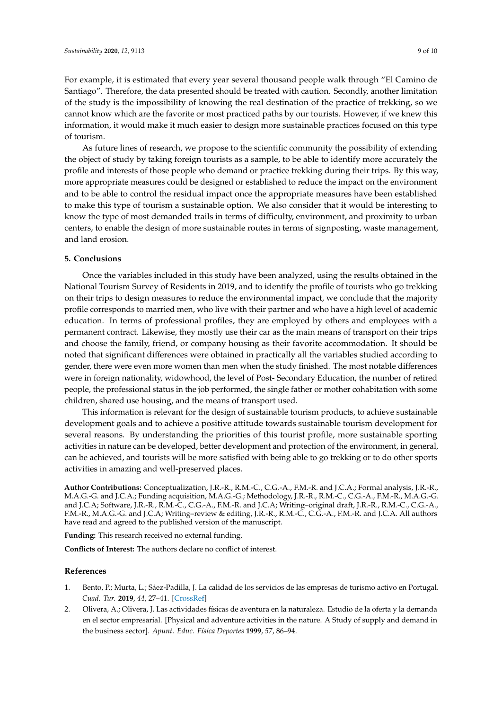For example, it is estimated that every year several thousand people walk through "El Camino de Santiago". Therefore, the data presented should be treated with caution. Secondly, another limitation of the study is the impossibility of knowing the real destination of the practice of trekking, so we cannot know which are the favorite or most practiced paths by our tourists. However, if we knew this information, it would make it much easier to design more sustainable practices focused on this type of tourism.

As future lines of research, we propose to the scientific community the possibility of extending the object of study by taking foreign tourists as a sample, to be able to identify more accurately the profile and interests of those people who demand or practice trekking during their trips. By this way, more appropriate measures could be designed or established to reduce the impact on the environment and to be able to control the residual impact once the appropriate measures have been established to make this type of tourism a sustainable option. We also consider that it would be interesting to know the type of most demanded trails in terms of difficulty, environment, and proximity to urban centers, to enable the design of more sustainable routes in terms of signposting, waste management, and land erosion.

# **5. Conclusions**

Once the variables included in this study have been analyzed, using the results obtained in the National Tourism Survey of Residents in 2019, and to identify the profile of tourists who go trekking on their trips to design measures to reduce the environmental impact, we conclude that the majority profile corresponds to married men, who live with their partner and who have a high level of academic education. In terms of professional profiles, they are employed by others and employees with a permanent contract. Likewise, they mostly use their car as the main means of transport on their trips and choose the family, friend, or company housing as their favorite accommodation. It should be noted that significant differences were obtained in practically all the variables studied according to gender, there were even more women than men when the study finished. The most notable differences were in foreign nationality, widowhood, the level of Post- Secondary Education, the number of retired people, the professional status in the job performed, the single father or mother cohabitation with some children, shared use housing, and the means of transport used.

This information is relevant for the design of sustainable tourism products, to achieve sustainable development goals and to achieve a positive attitude towards sustainable tourism development for several reasons. By understanding the priorities of this tourist profile, more sustainable sporting activities in nature can be developed, better development and protection of the environment, in general, can be achieved, and tourists will be more satisfied with being able to go trekking or to do other sports activities in amazing and well-preserved places.

**Author Contributions:** Conceptualization, J.R.-R., R.M.-C., C.G.-A., F.M.-R. and J.C.A.; Formal analysis, J.R.-R., M.A.G.-G. and J.C.A.; Funding acquisition, M.A.G.-G.; Methodology, J.R.-R., R.M.-C., C.G.-A., F.M.-R., M.A.G.-G. and J.C.A; Software, J.R.-R., R.M.-C., C.G.-A., F.M.-R. and J.C.A; Writing–original draft, J.R.-R., R.M.-C., C.G.-A., F.M.-R., M.A.G.-G. and J.C.A; Writing–review & editing, J.R.-R., R.M.-C., C.G.-A., F.M.-R. and J.C.A. All authors have read and agreed to the published version of the manuscript.

**Funding:** This research received no external funding.

**Conflicts of Interest:** The authors declare no conflict of interest.

# **References**

- <span id="page-8-0"></span>1. Bento, P.; Murta, L.; Sáez-Padilla, J. La calidad de los servicios de las empresas de turismo activo en Portugal. *Cuad. Tur.* **2019**, *44*, 27–41. [\[CrossRef\]](http://dx.doi.org/10.6018/turismo.44.404721)
- <span id="page-8-1"></span>2. Olivera, A.; Olivera, J. Las actividades físicas de aventura en la naturaleza. Estudio de la oferta y la demanda en el sector empresarial. [Physical and adventure activities in the nature. A Study of supply and demand in the business sector]. *Apunt. Educ. Física Deportes* **1999**, *57*, 86–94.